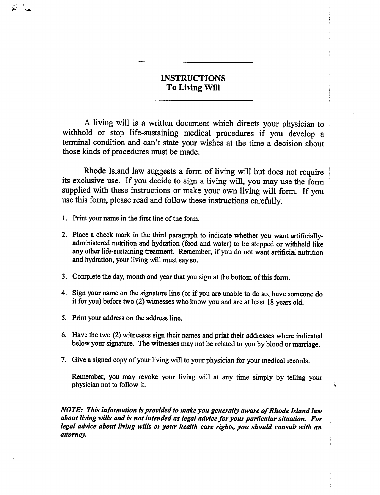# INSTRUCTIONS To Living Will

A living will is a written document which directs your physician to withhold or stop life-sustaining medical procedures if you develop a terminal condition and can't state your wishes at the time a decision about those kinds of procedures must be made.

Rhode Island law suggests a form of living will but does not require its exclusive use. If you decide to sign a living will, you may use the form supplied with these instructions or make your own living will form. If you use this form, please read and follow these instructions carefully.

1. Print your name in the first line of the form.

-af

- 2. Place a check mark in the third paragraph to indicate whether you want artificiallyadministered nutrition and hydration (food and water) to be stopped or withheld like any other life-sustaining treatment. Remember, if you do not want artificial nutrition and hydration, your living will must say so.
- 3. Complete the day, month and year that you sign at the bottom of this form.
- 4. Sign your name on the signature line (or if you are unable to do so, have someone do it for you) before two (2) witnesses who know you and are at least 18 years old.
- 5. Print your address on the address line.
- 6. Have the two (2) witnesses sign their names and print their addresses where indicated below your signature. The witnesses may not be related to you by blood or marriage.
- 7. Give a signed copy of your living will to your physician for your medical records.

Remember, you may revoke your living will at any time simply by telling your physician not to follow it.

- c

NOTE: This information is provided to make you generally aware of Rhode Island law about living wills and is not intended as legal advice for your particular situation. For legal advice about living wills or your health care rights, you should consult with an attorney.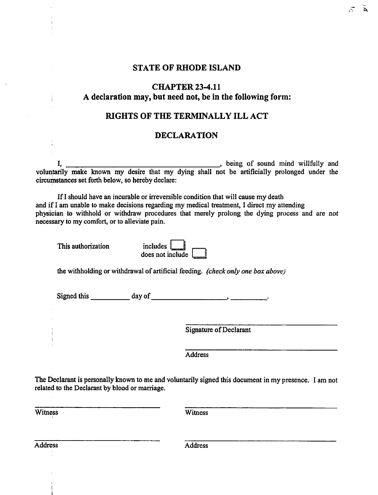#### STATE OF RHODE ISLAND

### CHAPTER23-4.il declaration may, but need not, be in the following form:

## RIGHTS OF THE TERMINALLY ILL ACT

### DECLARATION

I, **heing of sound mind willfully and**  $\overline{\phantom{a}}$ , being of sound mind willfully and voluntarily make known my desire that my dying shall not be artificially prolonged under the circumstances set forth below, so hereby declare:

If I should have an incurable or irreversible condition that will cause my death and if I am unable to make decisions regarding my medical treatment, I direct my attending physician to withhold or withdraw procedures that merely prolong the dying process and are not necessary to my comfort, or to alleviate pain.

This authorization includes includes include the state of the state include the state of the state include the

÷

| includes $\Box$    |  |
|--------------------|--|
| does not include [ |  |

the withholding or withdrawal of artificial feeding, (check only one box above)

Signed this day of the contract of the contract of the contract of the contract of the contract of the contract of the contract of the contract of the contract of the contract of the contract of the contract of the contrac

Signature of Declarant

Address

The Declarant is personally known to me and voluntarily signed this document in my presence. I am not related to the Declarant by blood or marriage.

Witness **Witness** 

Address **Address** Address **Address**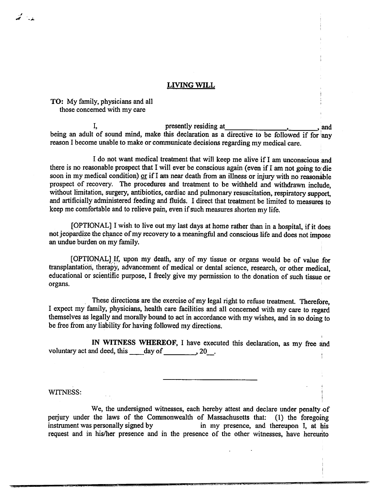#### LIVING WILL

### TO: My family, physicians and all those concerned with my care

لدياس متحقا

I, presently residing at the case of and  $\alpha$ , and  $\alpha$ being an adult of sound mind, make this declaration as a directive to be followed if for any reason I become unable to make or communicate decisions regarding my medical care.

I do not want medical treatment that will keep me alive if I am unconscious and there is no reasonable prospect that I will ever be conscious again (even if I am not going to; die soon in my medical condition) or if I am near death from an illness or injury with no reasonable prospect of recovery. The procedures and treatment to be withheld and withdrawn include, without limitation, surgery, antibiotics, cardiac and pulmonary resuscitation, respiratory support, and artificially administered feeding and fluids. I direct that treatment be limited to measures to keep me comfortable and to relieve pain, even if such measures shorten my life.

[OPTIONAL] I wish to live out my last days at home rather than in a hospital, if it does not jeopardize the chance of my recovery to a meaningful and conscious life and does not impose an undue burden on my family.

[OPTIONAL] If, upon my death, any of my tissue or organs would be of value for transplantation, therapy, advancement of medical or dental science, research, or other medical, educational or scientific purpose, I freely give my permission to the donation of such tissue or organs.

These directions are the exercise of my legal right to refuse treatment. Therefore, I expect my family, physicians, health care facilities and all concerned with my care to regard themselves as legally and morally bound to act in accordance with my wishes, and in so doing to be free from any liability for having followed my directions.

IN WITNESS WHEREOF, I have executed this declaration, as my free and voluntary act and deed, this day of  $\frac{20}{100}$ , 20.

#### WITNESS:

We, the undersigned witnesses, each hereby attest and declare under penalty of perjury under the laws of the Commonwealth of Massachusetts that: (1) the foregoing instrument was personally signed by in my presence, and thereupon I, at his request and in his/her presence and in the presence of the other witnesses, have hereunto